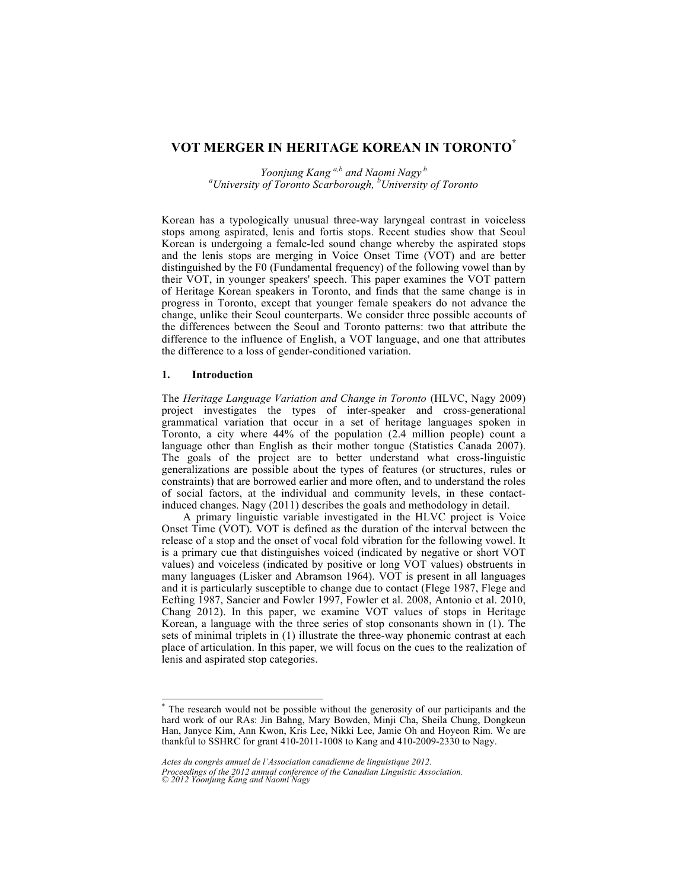# **VOT MERGER IN HERITAGE KOREAN IN TORONTO\***

*Yoonjung Kang a,b and Naomi Nagy<sup>b</sup> a University of Toronto Scarborough, <sup>b</sup> University of Toronto*

Korean has a typologically unusual three-way laryngeal contrast in voiceless stops among aspirated, lenis and fortis stops. Recent studies show that Seoul Korean is undergoing a female-led sound change whereby the aspirated stops and the lenis stops are merging in Voice Onset Time (VOT) and are better distinguished by the F0 (Fundamental frequency) of the following vowel than by their VOT, in younger speakers' speech. This paper examines the VOT pattern of Heritage Korean speakers in Toronto, and finds that the same change is in progress in Toronto, except that younger female speakers do not advance the change, unlike their Seoul counterparts. We consider three possible accounts of the differences between the Seoul and Toronto patterns: two that attribute the difference to the influence of English, a VOT language, and one that attributes the difference to a loss of gender-conditioned variation.

### **1. Introduction**

The *Heritage Language Variation and Change in Toronto* (HLVC, Nagy 2009) project investigates the types of inter-speaker and cross-generational grammatical variation that occur in a set of heritage languages spoken in Toronto, a city where 44% of the population (2.4 million people) count a language other than English as their mother tongue (Statistics Canada 2007). The goals of the project are to better understand what cross-linguistic generalizations are possible about the types of features (or structures, rules or constraints) that are borrowed earlier and more often, and to understand the roles of social factors, at the individual and community levels, in these contactinduced changes. Nagy (2011) describes the goals and methodology in detail.

A primary linguistic variable investigated in the HLVC project is Voice Onset Time (VOT). VOT is defined as the duration of the interval between the release of a stop and the onset of vocal fold vibration for the following vowel. It is a primary cue that distinguishes voiced (indicated by negative or short VOT values) and voiceless (indicated by positive or long VOT values) obstruents in many languages (Lisker and Abramson 1964). VOT is present in all languages and it is particularly susceptible to change due to contact (Flege 1987, Flege and Eefting 1987, Sancier and Fowler 1997, Fowler et al. 2008, Antonio et al. 2010, Chang 2012). In this paper, we examine VOT values of stops in Heritage Korean, a language with the three series of stop consonants shown in (1). The sets of minimal triplets in (1) illustrate the three-way phonemic contrast at each place of articulation. In this paper, we will focus on the cues to the realization of lenis and aspirated stop categories.

*Actes du congrès annuel de l'Association canadienne de linguistique 2012.*

*Proceedings of the 2012 annual conference of the Canadian Linguistic Association. © 2012 Yoonjung Kang and Naomi Nagy*

 <sup>\*</sup> The research would not be possible without the generosity of our participants and the hard work of our RAs: Jin Bahng, Mary Bowden, Minji Cha, Sheila Chung, Dongkeun Han, Janyce Kim, Ann Kwon, Kris Lee, Nikki Lee, Jamie Oh and Hoyeon Rim. We are thankful to SSHRC for grant 410-2011-1008 to Kang and 410-2009-2330 to Nagy.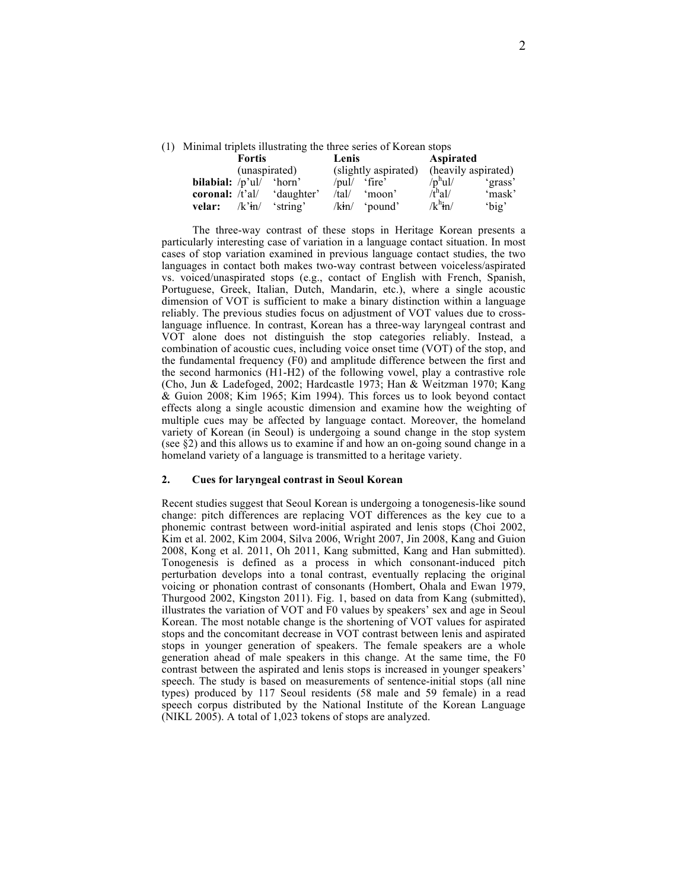(1) Minimal triplets illustrating the three series of Korean stops

|                            | <b>Fortis</b> |            | Lenis       |                      | <b>Aspirated</b>      |                     |
|----------------------------|---------------|------------|-------------|----------------------|-----------------------|---------------------|
|                            | (unaspirated) |            |             | (slightly aspirated) |                       | (heavily aspirated) |
| <b>bilabial:</b> $/p'$ ul/ |               | 'horn'     | $/$ pul $/$ | fire'                | $/p^{\rm h}$ ul/      | 'grass'             |
| coronal: $/t$ 'al/         |               | 'daughter' | /tal/       | 'moon'               | $\bar{t}^{\rm h}$ al/ | 'mask'              |
| velar:                     | $/k3$ tn/     | 'string'   | /kin/       | 'bound'              | $/k^h$ in/            | 'big'               |

The three-way contrast of these stops in Heritage Korean presents a particularly interesting case of variation in a language contact situation. In most cases of stop variation examined in previous language contact studies, the two languages in contact both makes two-way contrast between voiceless/aspirated vs. voiced/unaspirated stops (e.g., contact of English with French, Spanish, Portuguese, Greek, Italian, Dutch, Mandarin, etc.), where a single acoustic dimension of VOT is sufficient to make a binary distinction within a language reliably. The previous studies focus on adjustment of VOT values due to crosslanguage influence. In contrast, Korean has a three-way laryngeal contrast and VOT alone does not distinguish the stop categories reliably. Instead, a combination of acoustic cues, including voice onset time (VOT) of the stop, and the fundamental frequency (F0) and amplitude difference between the first and the second harmonics (H1-H2) of the following vowel, play a contrastive role (Cho, Jun & Ladefoged, 2002; Hardcastle 1973; Han & Weitzman 1970; Kang & Guion 2008; Kim 1965; Kim 1994). This forces us to look beyond contact effects along a single acoustic dimension and examine how the weighting of multiple cues may be affected by language contact. Moreover, the homeland variety of Korean (in Seoul) is undergoing a sound change in the stop system (see §2) and this allows us to examine if and how an on-going sound change in a homeland variety of a language is transmitted to a heritage variety.

# **2. Cues for laryngeal contrast in Seoul Korean**

Recent studies suggest that Seoul Korean is undergoing a tonogenesis-like sound change: pitch differences are replacing VOT differences as the key cue to a phonemic contrast between word-initial aspirated and lenis stops (Choi 2002, Kim et al. 2002, Kim 2004, Silva 2006, Wright 2007, Jin 2008, Kang and Guion 2008, Kong et al. 2011, Oh 2011, Kang submitted, Kang and Han submitted). Tonogenesis is defined as a process in which consonant-induced pitch perturbation develops into a tonal contrast, eventually replacing the original voicing or phonation contrast of consonants (Hombert, Ohala and Ewan 1979, Thurgood 2002, Kingston 2011). Fig. 1, based on data from Kang (submitted), illustrates the variation of VOT and F0 values by speakers' sex and age in Seoul Korean. The most notable change is the shortening of VOT values for aspirated stops and the concomitant decrease in VOT contrast between lenis and aspirated stops in younger generation of speakers. The female speakers are a whole generation ahead of male speakers in this change. At the same time, the F0 contrast between the aspirated and lenis stops is increased in younger speakers' speech. The study is based on measurements of sentence-initial stops (all nine types) produced by 117 Seoul residents (58 male and 59 female) in a read speech corpus distributed by the National Institute of the Korean Language (NIKL 2005). A total of 1,023 tokens of stops are analyzed.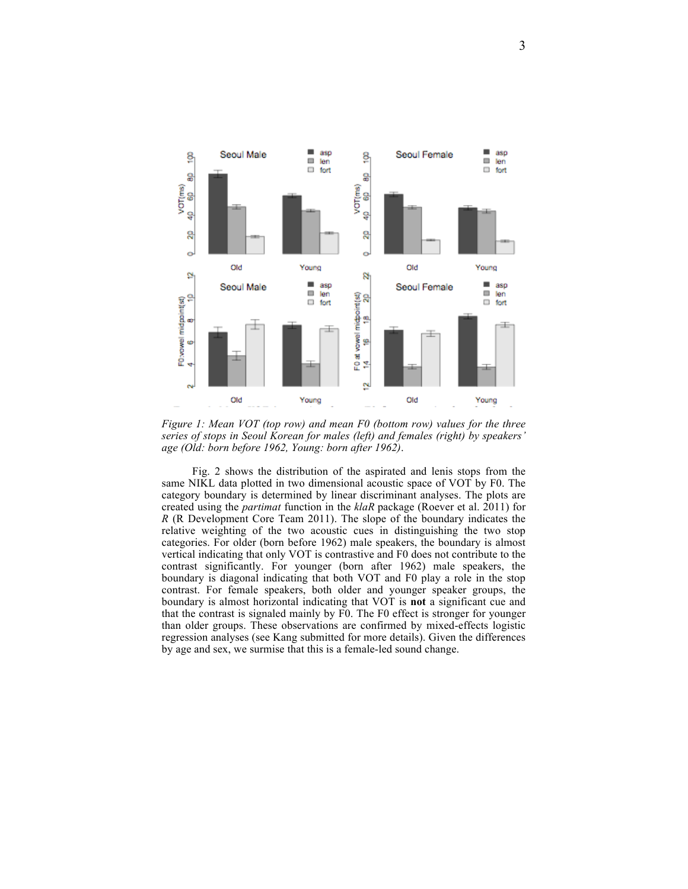

*Figure 1: Mean VOT (top row) and mean F0 (bottom row) values for the three series of stops in Seoul Korean for males (left) and females (right) by speakers' age (Old: born before 1962, Young: born after 1962)*.

Fig. 2 shows the distribution of the aspirated and lenis stops from the same NIKL data plotted in two dimensional acoustic space of VOT by F0. The category boundary is determined by linear discriminant analyses. The plots are created using the *partimat* function in the *klaR* package (Roever et al. 2011) for *R* (R Development Core Team 2011). The slope of the boundary indicates the relative weighting of the two acoustic cues in distinguishing the two stop categories. For older (born before 1962) male speakers, the boundary is almost vertical indicating that only VOT is contrastive and F0 does not contribute to the contrast significantly. For younger (born after 1962) male speakers, the boundary is diagonal indicating that both VOT and F0 play a role in the stop contrast. For female speakers, both older and younger speaker groups, the boundary is almost horizontal indicating that VOT is **not** a significant cue and that the contrast is signaled mainly by F0. The F0 effect is stronger for younger than older groups. These observations are confirmed by mixed-effects logistic regression analyses (see Kang submitted for more details). Given the differences by age and sex, we surmise that this is a female-led sound change.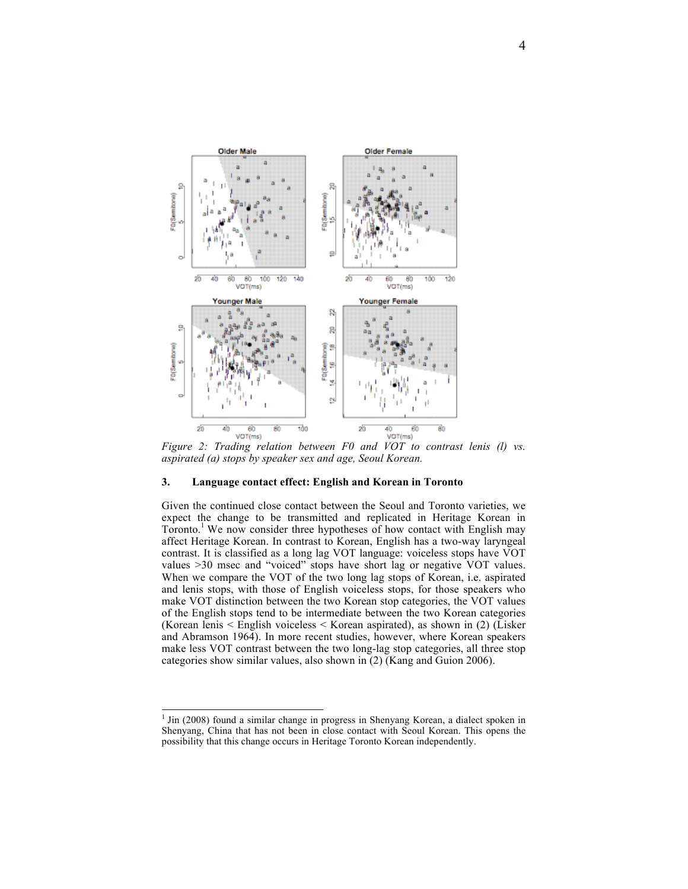

*Figure 2: Trading relation between F0 and VOT to contrast lenis (l) vs. aspirated (a) stops by speaker sex and age, Seoul Korean.*

## **3. Language contact effect: English and Korean in Toronto**

Given the continued close contact between the Seoul and Toronto varieties, we expect the change to be transmitted and replicated in Heritage Korean in Toronto.<sup>1</sup> We now consider three hypotheses of how contact with English may affect Heritage Korean. In contrast to Korean, English has a two-way laryngeal contrast. It is classified as a long lag VOT language: voiceless stops have VOT values >30 msec and "voiced" stops have short lag or negative VOT values. When we compare the VOT of the two long lag stops of Korean, i.e. aspirated and lenis stops, with those of English voiceless stops, for those speakers who make VOT distinction between the two Korean stop categories, the VOT values of the English stops tend to be intermediate between the two Korean categories (Korean lenis < English voiceless < Korean aspirated), as shown in (2) (Lisker and Abramson 1964). In more recent studies, however, where Korean speakers make less VOT contrast between the two long-lag stop categories, all three stop categories show similar values, also shown in (2) (Kang and Guion 2006).

 $\frac{1}{1}$  Jin (2008) found a similar change in progress in Shenyang Korean, a dialect spoken in Shenyang, China that has not been in close contact with Seoul Korean. This opens the possibility that this change occurs in Heritage Toronto Korean independently.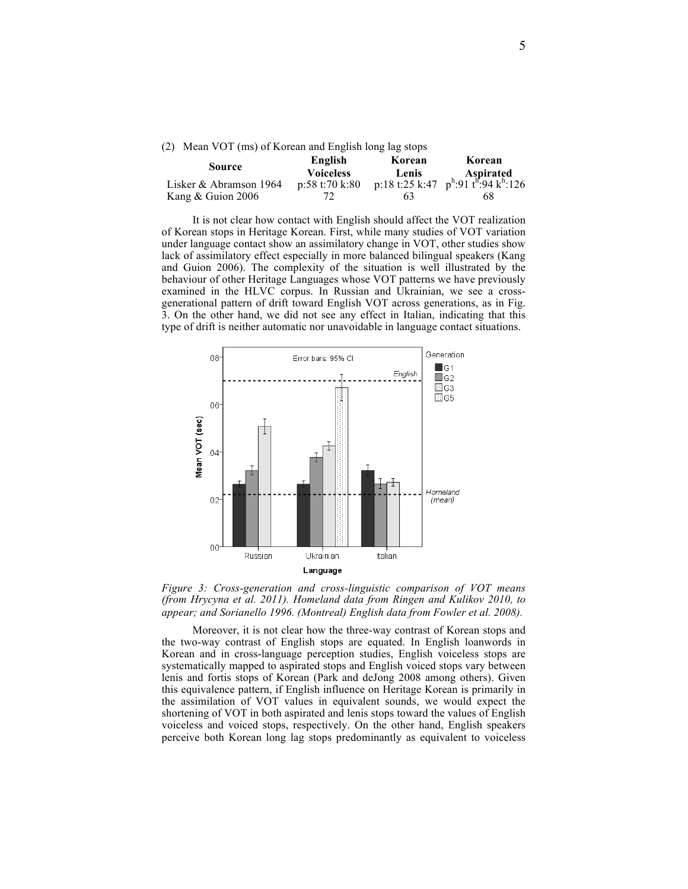|  |  |  |  |  | (2) Mean VOT (ms) of Korean and English long lag stops |  |  |  |  |  |
|--|--|--|--|--|--------------------------------------------------------|--|--|--|--|--|
|--|--|--|--|--|--------------------------------------------------------|--|--|--|--|--|

| Source                 | English          | Korean | Korean                                                                                             |  |  |
|------------------------|------------------|--------|----------------------------------------------------------------------------------------------------|--|--|
|                        | <b>Voiceless</b> |        | <b>Lenis</b> Aspirated<br>p:18 t:25 k:47 p <sup>h</sup> :91 t <sup>h</sup> :94 k <sup>h</sup> :126 |  |  |
| Lisker & Abramson 1964 | p:58t:70k:80     |        |                                                                                                    |  |  |
| Kang $& Guion 2006$    |                  | 63     | 68                                                                                                 |  |  |

It is not clear how contact with English should affect the VOT realization of Korean stops in Heritage Korean. First, while many studies of VOT variation under language contact show an assimilatory change in VOT, other studies show lack of assimilatory effect especially in more balanced bilingual speakers (Kang and Guion 2006). The complexity of the situation is well illustrated by the behaviour of other Heritage Languages whose VOT patterns we have previously examined in the HLVC corpus. In Russian and Ukrainian, we see a crossgenerational pattern of drift toward English VOT across generations, as in Fig. 3. On the other hand, we did not see any effect in Italian, indicating that this type of drift is neither automatic nor unavoidable in language contact situations.



*Figure 3: Cross-generation and cross-linguistic comparison of VOT means (from Hrycyna et al. 2011). Homeland data from Ringen and Kulikov 2010, to appear; and Sorianello 1996. (Montreal) English data from Fowler et al. 2008).*

Moreover, it is not clear how the three-way contrast of Korean stops and the two-way contrast of English stops are equated. In English loanwords in Korean and in cross-language perception studies, English voiceless stops are systematically mapped to aspirated stops and English voiced stops vary between lenis and fortis stops of Korean (Park and deJong 2008 among others). Given this equivalence pattern, if English influence on Heritage Korean is primarily in the assimilation of VOT values in equivalent sounds, we would expect the shortening of VOT in both aspirated and lenis stops toward the values of English voiceless and voiced stops, respectively. On the other hand, English speakers perceive both Korean long lag stops predominantly as equivalent to voiceless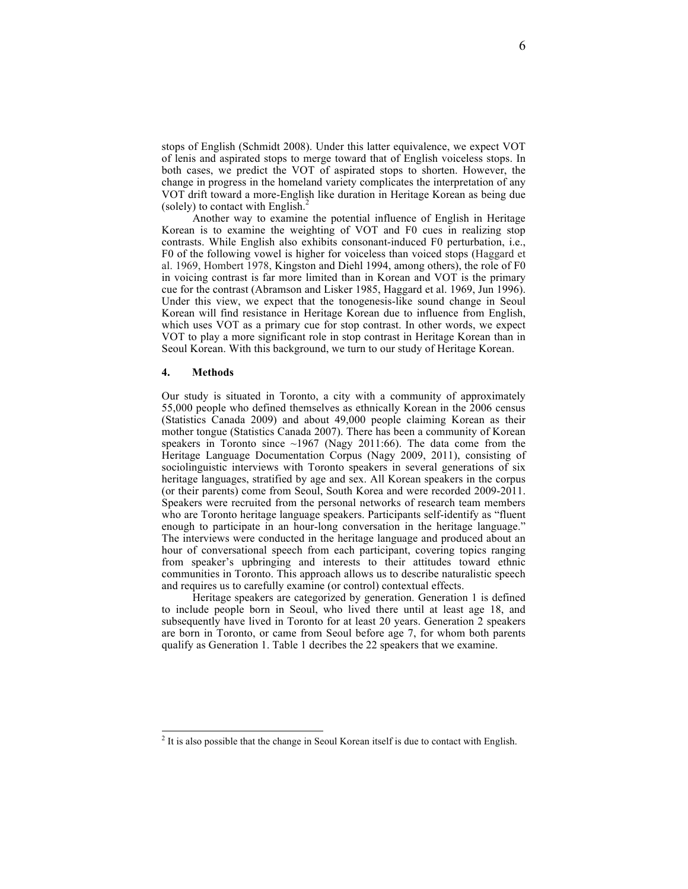stops of English (Schmidt 2008). Under this latter equivalence, we expect VOT of lenis and aspirated stops to merge toward that of English voiceless stops. In both cases, we predict the VOT of aspirated stops to shorten. However, the change in progress in the homeland variety complicates the interpretation of any VOT drift toward a more-English like duration in Heritage Korean as being due (solely) to contact with English. $<sup>2</sup>$ </sup>

Another way to examine the potential influence of English in Heritage Korean is to examine the weighting of VOT and F0 cues in realizing stop contrasts. While English also exhibits consonant-induced F0 perturbation, i.e., F0 of the following vowel is higher for voiceless than voiced stops (Haggard et al. 1969, Hombert 1978, Kingston and Diehl 1994, among others), the role of F0 in voicing contrast is far more limited than in Korean and VOT is the primary cue for the contrast (Abramson and Lisker 1985, Haggard et al. 1969, Jun 1996). Under this view, we expect that the tonogenesis-like sound change in Seoul Korean will find resistance in Heritage Korean due to influence from English, which uses VOT as a primary cue for stop contrast. In other words, we expect VOT to play a more significant role in stop contrast in Heritage Korean than in Seoul Korean. With this background, we turn to our study of Heritage Korean.

#### **4. Methods**

Our study is situated in Toronto, a city with a community of approximately 55,000 people who defined themselves as ethnically Korean in the 2006 census (Statistics Canada 2009) and about 49,000 people claiming Korean as their mother tongue (Statistics Canada 2007). There has been a community of Korean speakers in Toronto since  $\sim$ 1967 (Nagy 2011:66). The data come from the Heritage Language Documentation Corpus (Nagy 2009, 2011), consisting of sociolinguistic interviews with Toronto speakers in several generations of six heritage languages, stratified by age and sex. All Korean speakers in the corpus (or their parents) come from Seoul, South Korea and were recorded 2009-2011. Speakers were recruited from the personal networks of research team members who are Toronto heritage language speakers. Participants self-identify as "fluent enough to participate in an hour-long conversation in the heritage language." The interviews were conducted in the heritage language and produced about an hour of conversational speech from each participant, covering topics ranging from speaker's upbringing and interests to their attitudes toward ethnic communities in Toronto. This approach allows us to describe naturalistic speech and requires us to carefully examine (or control) contextual effects.

Heritage speakers are categorized by generation. Generation 1 is defined to include people born in Seoul, who lived there until at least age 18, and subsequently have lived in Toronto for at least 20 years. Generation 2 speakers are born in Toronto, or came from Seoul before age 7, for whom both parents qualify as Generation 1. Table 1 decribes the 22 speakers that we examine.

 $\frac{1}{2}$  $2$  It is also possible that the change in Seoul Korean itself is due to contact with English.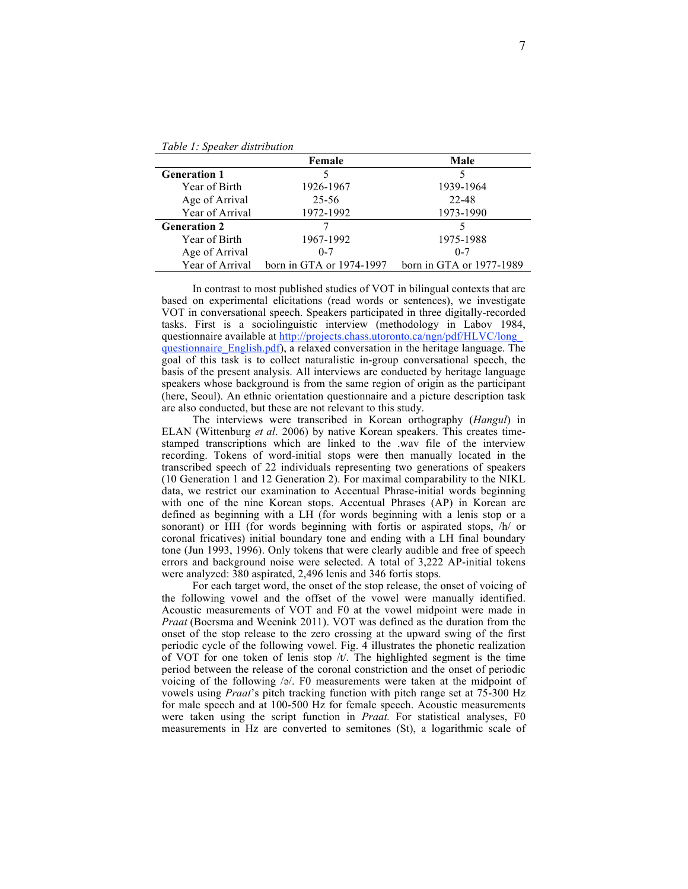|                     | Female                   | Male                     |
|---------------------|--------------------------|--------------------------|
| <b>Generation 1</b> |                          |                          |
| Year of Birth       | 1926-1967                | 1939-1964                |
| Age of Arrival      | 25-56                    | 22-48                    |
| Year of Arrival     | 1972-1992                | 1973-1990                |
| <b>Generation 2</b> |                          |                          |
| Year of Birth       | 1967-1992                | 1975-1988                |
| Age of Arrival      | $0 - 7$                  | $0 - 7$                  |
| Year of Arrival     | born in GTA or 1974-1997 | born in GTA or 1977-1989 |

In contrast to most published studies of VOT in bilingual contexts that are based on experimental elicitations (read words or sentences), we investigate VOT in conversational speech. Speakers participated in three digitally-recorded tasks. First is a sociolinguistic interview (methodology in Labov 1984, questionnaire available at http://projects.chass.utoronto.ca/ngn/pdf/HLVC/long questionnaire\_English.pdf), a relaxed conversation in the heritage language. The goal of this task is to collect naturalistic in-group conversational speech, the basis of the present analysis. All interviews are conducted by heritage language speakers whose background is from the same region of origin as the participant (here, Seoul). An ethnic orientation questionnaire and a picture description task are also conducted, but these are not relevant to this study.

The interviews were transcribed in Korean orthography (*Hangul*) in ELAN (Wittenburg *et al*. 2006) by native Korean speakers. This creates timestamped transcriptions which are linked to the .wav file of the interview recording. Tokens of word-initial stops were then manually located in the transcribed speech of 22 individuals representing two generations of speakers (10 Generation 1 and 12 Generation 2). For maximal comparability to the NIKL data, we restrict our examination to Accentual Phrase-initial words beginning with one of the nine Korean stops. Accentual Phrases (AP) in Korean are defined as beginning with a LH (for words beginning with a lenis stop or a sonorant) or HH (for words beginning with fortis or aspirated stops, /h/ or coronal fricatives) initial boundary tone and ending with a LH final boundary tone (Jun 1993, 1996). Only tokens that were clearly audible and free of speech errors and background noise were selected. A total of 3,222 AP-initial tokens were analyzed: 380 aspirated, 2,496 lenis and 346 fortis stops.

For each target word, the onset of the stop release, the onset of voicing of the following vowel and the offset of the vowel were manually identified. Acoustic measurements of VOT and F0 at the vowel midpoint were made in *Praat* (Boersma and Weenink 2011). VOT was defined as the duration from the onset of the stop release to the zero crossing at the upward swing of the first periodic cycle of the following vowel. Fig. 4 illustrates the phonetic realization of VOT for one token of lenis stop  $/t$ . The highlighted segment is the time period between the release of the coronal constriction and the onset of periodic voicing of the following /ә/. F0 measurements were taken at the midpoint of vowels using *Praat*'s pitch tracking function with pitch range set at 75-300 Hz for male speech and at 100-500 Hz for female speech. Acoustic measurements were taken using the script function in *Praat.* For statistical analyses, F0 measurements in Hz are converted to semitones (St), a logarithmic scale of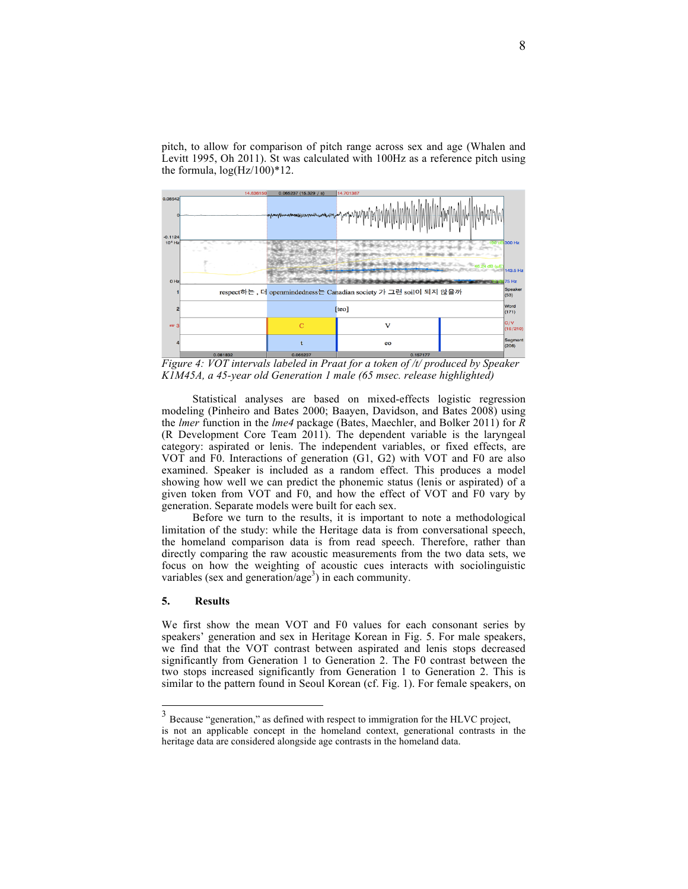pitch, to allow for comparison of pitch range across sex and age (Whalen and Levitt 1995, Oh 2011). St was calculated with 100Hz as a reference pitch using the formula,  $log(Hz/100)*12$ .



*Figure 4: VOT intervals labeled in Praat for a token of /t/ produced by Speaker K1M45A, a 45-year old Generation 1 male (65 msec. release highlighted)*

Statistical analyses are based on mixed-effects logistic regression modeling (Pinheiro and Bates 2000; Baayen, Davidson, and Bates 2008) using the *lmer* function in the *lme4* package (Bates, Maechler, and Bolker 2011) for *R* (R Development Core Team 2011). The dependent variable is the laryngeal category: aspirated or lenis. The independent variables, or fixed effects, are VOT and F0. Interactions of generation (G1, G2) with VOT and F0 are also examined. Speaker is included as a random effect. This produces a model showing how well we can predict the phonemic status (lenis or aspirated) of a given token from VOT and F0, and how the effect of VOT and F0 vary by generation. Separate models were built for each sex.

Before we turn to the results, it is important to note a methodological limitation of the study: while the Heritage data is from conversational speech, the homeland comparison data is from read speech. Therefore, rather than directly comparing the raw acoustic measurements from the two data sets, we focus on how the weighting of acoustic cues interacts with sociolinguistic variables (sex and generation/age<sup>3</sup>) in each community.

### **5. Results**

We first show the mean VOT and F0 values for each consonant series by speakers' generation and sex in Heritage Korean in Fig. 5. For male speakers, we find that the VOT contrast between aspirated and lenis stops decreased significantly from Generation 1 to Generation 2. The F0 contrast between the two stops increased significantly from Generation 1 to Generation 2. This is similar to the pattern found in Seoul Korean (cf. Fig. 1). For female speakers, on

<sup>&</sup>lt;sup>3</sup> Because "generation," as defined with respect to immigration for the HLVC project, is not an applicable concept in the homeland context, generational contrasts in the heritage data are considered alongside age contrasts in the homeland data.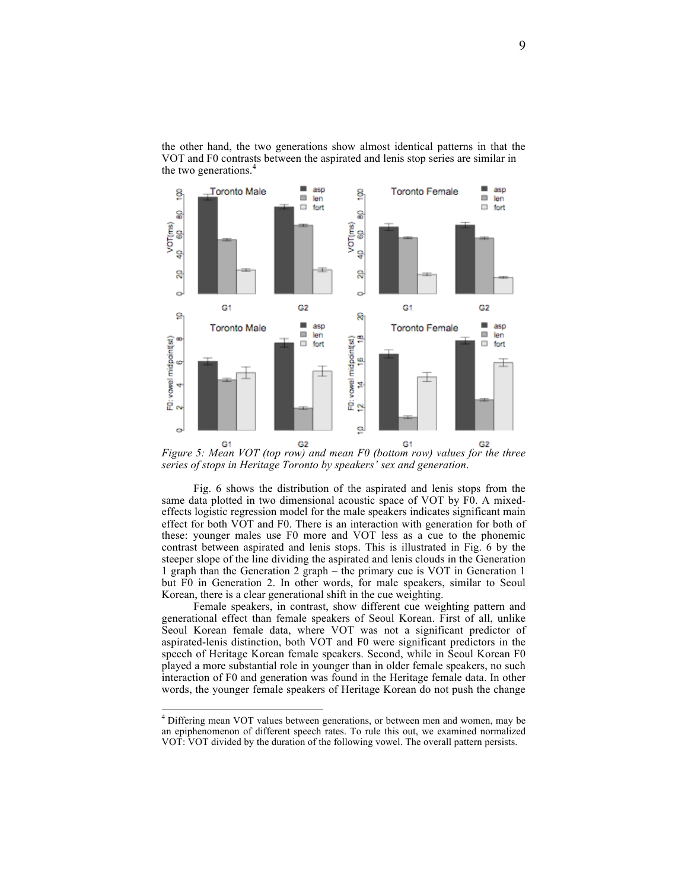

the other hand, the two generations show almost identical patterns in that the VOT and F0 contrasts between the aspirated and lenis stop series are similar in the two generations.<sup>4</sup>

*Figure 5: Mean VOT (top row) and mean F0 (bottom row) values for the three series of stops in Heritage Toronto by speakers' sex and generation*.

Fig. 6 shows the distribution of the aspirated and lenis stops from the same data plotted in two dimensional acoustic space of VOT by F0. A mixedeffects logistic regression model for the male speakers indicates significant main effect for both VOT and F0. There is an interaction with generation for both of these: younger males use F0 more and VOT less as a cue to the phonemic contrast between aspirated and lenis stops. This is illustrated in Fig. 6 by the steeper slope of the line dividing the aspirated and lenis clouds in the Generation 1 graph than the Generation 2 graph – the primary cue is VOT in Generation 1 but F0 in Generation 2. In other words, for male speakers, similar to Seoul Korean, there is a clear generational shift in the cue weighting.

Female speakers, in contrast, show different cue weighting pattern and generational effect than female speakers of Seoul Korean. First of all, unlike Seoul Korean female data, where VOT was not a significant predictor of aspirated-lenis distinction, both VOT and F0 were significant predictors in the speech of Heritage Korean female speakers. Second, while in Seoul Korean F0 played a more substantial role in younger than in older female speakers, no such interaction of F0 and generation was found in the Heritage female data. In other words, the younger female speakers of Heritage Korean do not push the change

 <sup>4</sup> Differing mean VOT values between generations, or between men and women, may be an epiphenomenon of different speech rates. To rule this out, we examined normalized VOT: VOT divided by the duration of the following vowel. The overall pattern persists.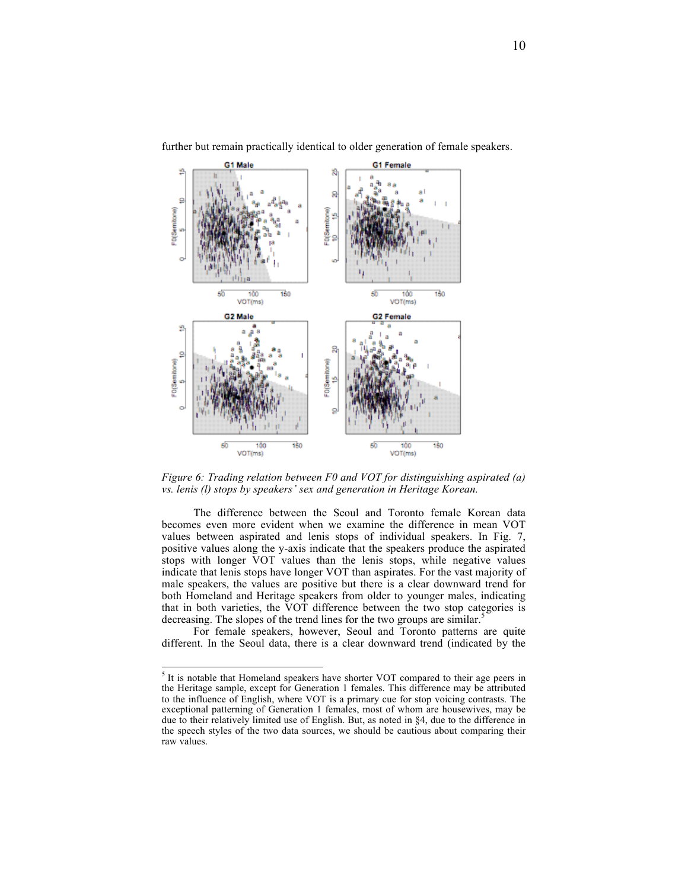

further but remain practically identical to older generation of female speakers.

*Figure 6: Trading relation between F0 and VOT for distinguishing aspirated (a) vs. lenis (l) stops by speakers' sex and generation in Heritage Korean.*

The difference between the Seoul and Toronto female Korean data becomes even more evident when we examine the difference in mean VOT values between aspirated and lenis stops of individual speakers. In Fig. 7, positive values along the y-axis indicate that the speakers produce the aspirated stops with longer VOT values than the lenis stops, while negative values indicate that lenis stops have longer VOT than aspirates. For the vast majority of male speakers, the values are positive but there is a clear downward trend for both Homeland and Heritage speakers from older to younger males, indicating that in both varieties, the VOT difference between the two stop categories is decreasing. The slopes of the trend lines for the two groups are similar.<sup>5</sup>

For female speakers, however, Seoul and Toronto patterns are quite different. In the Seoul data, there is a clear downward trend (indicated by the

 <sup>5</sup>  $<sup>5</sup>$  It is notable that Homeland speakers have shorter VOT compared to their age peers in</sup> the Heritage sample, except for Generation 1 females. This difference may be attributed to the influence of English, where VOT is a primary cue for stop voicing contrasts. The exceptional patterning of Generation 1 females, most of whom are housewives, may be due to their relatively limited use of English. But, as noted in §4, due to the difference in the speech styles of the two data sources, we should be cautious about comparing their raw values.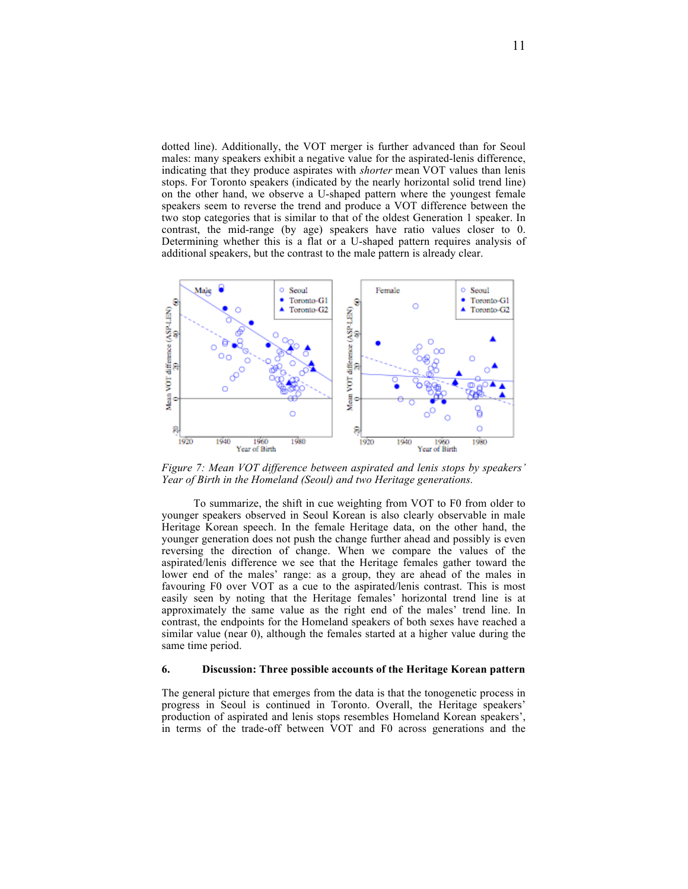dotted line). Additionally, the VOT merger is further advanced than for Seoul males: many speakers exhibit a negative value for the aspirated-lenis difference, indicating that they produce aspirates with *shorter* mean VOT values than lenis stops. For Toronto speakers (indicated by the nearly horizontal solid trend line) on the other hand, we observe a U-shaped pattern where the youngest female speakers seem to reverse the trend and produce a VOT difference between the two stop categories that is similar to that of the oldest Generation 1 speaker. In contrast, the mid-range (by age) speakers have ratio values closer to 0. Determining whether this is a flat or a U-shaped pattern requires analysis of additional speakers, but the contrast to the male pattern is already clear.



*Figure 7: Mean VOT difference between aspirated and lenis stops by speakers' Year of Birth in the Homeland (Seoul) and two Heritage generations.*

To summarize, the shift in cue weighting from VOT to F0 from older to younger speakers observed in Seoul Korean is also clearly observable in male Heritage Korean speech. In the female Heritage data, on the other hand, the younger generation does not push the change further ahead and possibly is even reversing the direction of change. When we compare the values of the aspirated/lenis difference we see that the Heritage females gather toward the lower end of the males' range: as a group, they are ahead of the males in favouring F0 over VOT as a cue to the aspirated/lenis contrast. This is most easily seen by noting that the Heritage females' horizontal trend line is at approximately the same value as the right end of the males' trend line. In contrast, the endpoints for the Homeland speakers of both sexes have reached a similar value (near 0), although the females started at a higher value during the same time period.

#### **6. Discussion: Three possible accounts of the Heritage Korean pattern**

The general picture that emerges from the data is that the tonogenetic process in progress in Seoul is continued in Toronto. Overall, the Heritage speakers' production of aspirated and lenis stops resembles Homeland Korean speakers', in terms of the trade-off between VOT and F0 across generations and the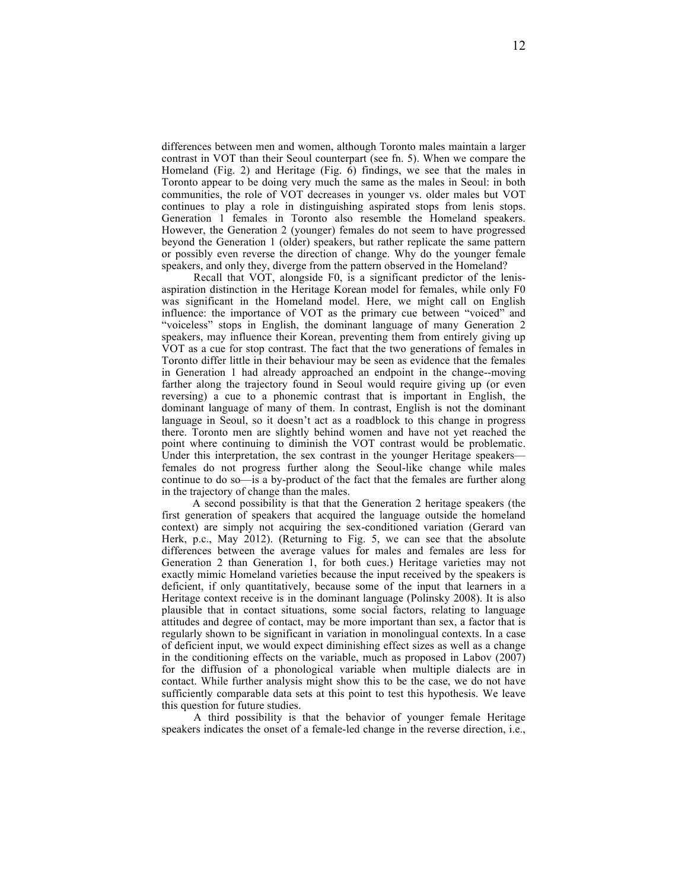differences between men and women, although Toronto males maintain a larger contrast in VOT than their Seoul counterpart (see fn. 5). When we compare the Homeland (Fig. 2) and Heritage (Fig. 6) findings, we see that the males in Toronto appear to be doing very much the same as the males in Seoul: in both communities, the role of VOT decreases in younger vs. older males but VOT continues to play a role in distinguishing aspirated stops from lenis stops. Generation 1 females in Toronto also resemble the Homeland speakers. However, the Generation 2 (younger) females do not seem to have progressed beyond the Generation 1 (older) speakers, but rather replicate the same pattern or possibly even reverse the direction of change. Why do the younger female speakers, and only they, diverge from the pattern observed in the Homeland?

Recall that VOT, alongside F0, is a significant predictor of the lenisaspiration distinction in the Heritage Korean model for females, while only F0 was significant in the Homeland model. Here, we might call on English influence: the importance of VOT as the primary cue between "voiced" and "voiceless" stops in English, the dominant language of many Generation 2 speakers, may influence their Korean, preventing them from entirely giving up VOT as a cue for stop contrast. The fact that the two generations of females in Toronto differ little in their behaviour may be seen as evidence that the females in Generation 1 had already approached an endpoint in the change--moving farther along the trajectory found in Seoul would require giving up (or even reversing) a cue to a phonemic contrast that is important in English, the dominant language of many of them. In contrast, English is not the dominant language in Seoul, so it doesn't act as a roadblock to this change in progress there. Toronto men are slightly behind women and have not yet reached the point where continuing to diminish the VOT contrast would be problematic. Under this interpretation, the sex contrast in the younger Heritage speakers females do not progress further along the Seoul-like change while males continue to do so—is a by-product of the fact that the females are further along in the trajectory of change than the males.

A second possibility is that that the Generation 2 heritage speakers (the first generation of speakers that acquired the language outside the homeland context) are simply not acquiring the sex-conditioned variation (Gerard van Herk, p.c., May 2012). (Returning to Fig. 5, we can see that the absolute differences between the average values for males and females are less for Generation 2 than Generation 1, for both cues.) Heritage varieties may not exactly mimic Homeland varieties because the input received by the speakers is deficient, if only quantitatively, because some of the input that learners in a Heritage context receive is in the dominant language (Polinsky 2008). It is also plausible that in contact situations, some social factors, relating to language attitudes and degree of contact, may be more important than sex, a factor that is regularly shown to be significant in variation in monolingual contexts. In a case of deficient input, we would expect diminishing effect sizes as well as a change in the conditioning effects on the variable, much as proposed in Labov (2007) for the diffusion of a phonological variable when multiple dialects are in contact. While further analysis might show this to be the case, we do not have sufficiently comparable data sets at this point to test this hypothesis. We leave this question for future studies.

A third possibility is that the behavior of younger female Heritage speakers indicates the onset of a female-led change in the reverse direction, i.e.,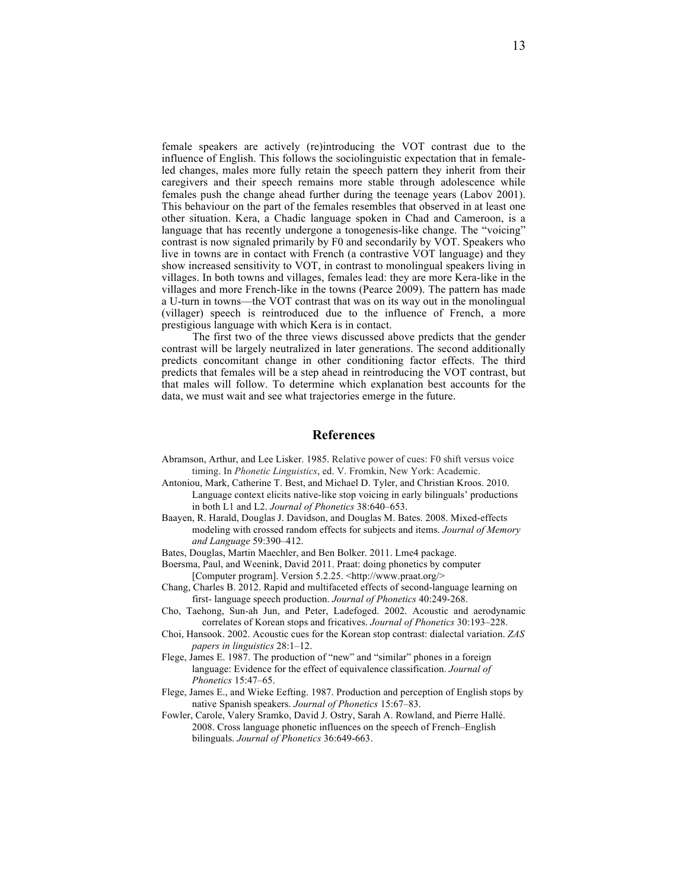female speakers are actively (re)introducing the VOT contrast due to the influence of English. This follows the sociolinguistic expectation that in femaleled changes, males more fully retain the speech pattern they inherit from their caregivers and their speech remains more stable through adolescence while females push the change ahead further during the teenage years (Labov 2001). This behaviour on the part of the females resembles that observed in at least one other situation. Kera, a Chadic language spoken in Chad and Cameroon, is a language that has recently undergone a tonogenesis-like change. The "voicing" contrast is now signaled primarily by F0 and secondarily by VOT. Speakers who live in towns are in contact with French (a contrastive VOT language) and they show increased sensitivity to VOT, in contrast to monolingual speakers living in villages. In both towns and villages, females lead: they are more Kera-like in the villages and more French-like in the towns (Pearce 2009). The pattern has made a U-turn in towns—the VOT contrast that was on its way out in the monolingual (villager) speech is reintroduced due to the influence of French, a more prestigious language with which Kera is in contact.

The first two of the three views discussed above predicts that the gender contrast will be largely neutralized in later generations. The second additionally predicts concomitant change in other conditioning factor effects. The third predicts that females will be a step ahead in reintroducing the VOT contrast, but that males will follow. To determine which explanation best accounts for the data, we must wait and see what trajectories emerge in the future.

# **References**

- Abramson, Arthur, and Lee Lisker. 1985. Relative power of cues: F0 shift versus voice timing. In *Phonetic Linguistics*, ed. V. Fromkin, New York: Academic.
- Antoniou, Mark, Catherine T. Best, and Michael D. Tyler, and Christian Kroos. 2010. Language context elicits native-like stop voicing in early bilinguals' productions in both L1 and L2. *Journal of Phonetics* 38:640–653.
- Baayen, R. Harald, Douglas J. Davidson, and Douglas M. Bates. 2008. Mixed-effects modeling with crossed random effects for subjects and items. *Journal of Memory and Language* 59:390–412.
- Bates, Douglas, Martin Maechler, and Ben Bolker. 2011. Lme4 package.
- Boersma, Paul, and Weenink, David 2011. Praat: doing phonetics by computer [Computer program]. Version 5.2.25. <http://www.praat.org/>
- Chang, Charles B. 2012. Rapid and multifaceted effects of second-language learning on first- language speech production. *Journal of Phonetics* 40:249-268.
- Cho, Taehong, Sun-ah Jun, and Peter, Ladefoged. 2002. Acoustic and aerodynamic correlates of Korean stops and fricatives. *Journal of Phonetics* 30:193–228.
- Choi, Hansook. 2002. Acoustic cues for the Korean stop contrast: dialectal variation. *ZAS papers in linguistics* 28:1–12.
- Flege, James E. 1987. The production of "new" and "similar" phones in a foreign language: Evidence for the effect of equivalence classification. *Journal of Phonetics* 15:47–65.
- Flege, James E., and Wieke Eefting. 1987. Production and perception of English stops by native Spanish speakers. *Journal of Phonetics* 15:67–83.
- Fowler, Carole, Valery Sramko, David J. Ostry, Sarah A. Rowland, and Pierre Hallé. 2008. Cross language phonetic influences on the speech of French–English bilinguals. *Journal of Phonetics* 36:649-663.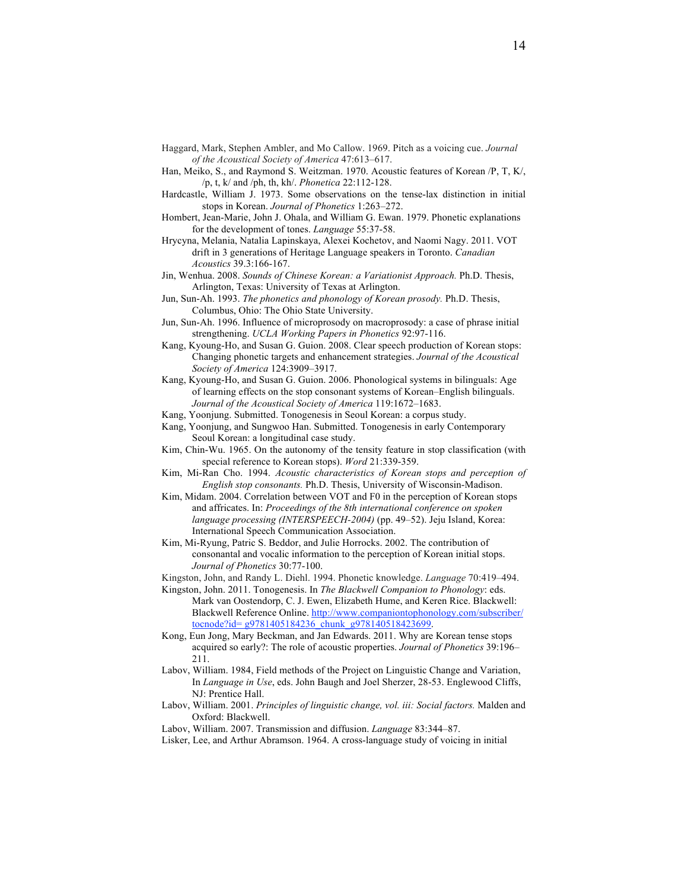- Haggard, Mark, Stephen Ambler, and Mo Callow. 1969. Pitch as a voicing cue. *Journal of the Acoustical Society of America* 47:613–617.
- Han, Meiko, S., and Raymond S. Weitzman. 1970. Acoustic features of Korean /P, T, K/, /p, t, k/ and /ph, th, kh/. *Phonetica* 22:112-128.
- Hardcastle, William J. 1973. Some observations on the tense-lax distinction in initial stops in Korean. *Journal of Phonetics* 1:263–272.
- Hombert, Jean-Marie, John J. Ohala, and William G. Ewan. 1979. Phonetic explanations for the development of tones. *Language* 55:37-58.
- Hrycyna, Melania, Natalia Lapinskaya, Alexei Kochetov, and Naomi Nagy. 2011. VOT drift in 3 generations of Heritage Language speakers in Toronto. *Canadian Acoustics* 39.3:166-167.
- Jin, Wenhua. 2008. *Sounds of Chinese Korean: a Variationist Approach.* Ph.D. Thesis, Arlington, Texas: University of Texas at Arlington.
- Jun, Sun-Ah. 1993. *The phonetics and phonology of Korean prosody.* Ph.D. Thesis, Columbus, Ohio: The Ohio State University.
- Jun, Sun-Ah. 1996. Influence of microprosody on macroprosody: a case of phrase initial strengthening. *UCLA Working Papers in Phonetics* 92:97-116.
- Kang, Kyoung-Ho, and Susan G. Guion. 2008. Clear speech production of Korean stops: Changing phonetic targets and enhancement strategies. *Journal of the Acoustical Society of America* 124:3909–3917.
- Kang, Kyoung-Ho, and Susan G. Guion. 2006. Phonological systems in bilinguals: Age of learning effects on the stop consonant systems of Korean–English bilinguals. *Journal of the Acoustical Society of America* 119:1672–1683.
- Kang, Yoonjung. Submitted. Tonogenesis in Seoul Korean: a corpus study.
- Kang, Yoonjung, and Sungwoo Han. Submitted. Tonogenesis in early Contemporary Seoul Korean: a longitudinal case study.
- Kim, Chin-Wu. 1965. On the autonomy of the tensity feature in stop classification (with special reference to Korean stops). *Word* 21:339-359.
- Kim, Mi-Ran Cho. 1994. *Acoustic characteristics of Korean stops and perception of English stop consonants.* Ph.D. Thesis, University of Wisconsin-Madison.
- Kim, Midam. 2004. Correlation between VOT and F0 in the perception of Korean stops and affricates. In: *Proceedings of the 8th international conference on spoken language processing (INTERSPEECH-2004)* (pp. 49–52). Jeju Island, Korea: International Speech Communication Association.
- Kim, Mi-Ryung, Patric S. Beddor, and Julie Horrocks. 2002. The contribution of consonantal and vocalic information to the perception of Korean initial stops. *Journal of Phonetics* 30:77-100.
- Kingston, John, and Randy L. Diehl. 1994. Phonetic knowledge. *Language* 70:419–494.
- Kingston, John. 2011. Tonogenesis. In *The Blackwell Companion to Phonology*: eds. Mark van Oostendorp, C. J. Ewen, Elizabeth Hume, and Keren Rice. Blackwell: Blackwell Reference Online. http://www.companiontophonology.com/subscriber/ tocnode?id= g9781405184236\_chunk\_g978140518423699.
- Kong, Eun Jong, Mary Beckman, and Jan Edwards. 2011. Why are Korean tense stops acquired so early?: The role of acoustic properties. *Journal of Phonetics* 39:196– 211.
- Labov, William. 1984, Field methods of the Project on Linguistic Change and Variation, In *Language in Use*, eds. John Baugh and Joel Sherzer, 28-53. Englewood Cliffs, NJ: Prentice Hall.
- Labov, William. 2001. *Principles of linguistic change, vol. iii: Social factors*. Malden and Oxford: Blackwell.
- Labov, William. 2007. Transmission and diffusion. *Language* 83:344–87.
- Lisker, Lee, and Arthur Abramson. 1964. A cross-language study of voicing in initial